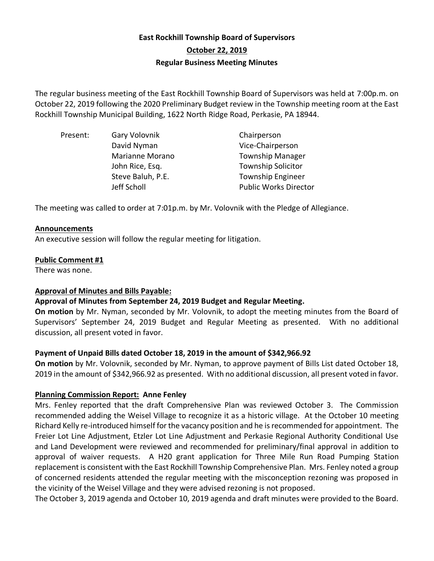# **East Rockhill Township Board of Supervisors October 22, 2019 Regular Business Meeting Minutes**

The regular business meeting of the East Rockhill Township Board of Supervisors was held at 7:00p.m. on October 22, 2019 following the 2020 Preliminary Budget review in the Township meeting room at the East Rockhill Township Municipal Building, 1622 North Ridge Road, Perkasie, PA 18944.

| Present: | Gary Volovnik     | Chairperson                  |
|----------|-------------------|------------------------------|
|          | David Nyman       | Vice-Chairperson             |
|          | Marianne Morano   | <b>Township Manager</b>      |
|          | John Rice, Esq.   | <b>Township Solicitor</b>    |
|          | Steve Baluh, P.E. | <b>Township Engineer</b>     |
|          | Jeff Scholl       | <b>Public Works Director</b> |
|          |                   |                              |

The meeting was called to order at 7:01p.m. by Mr. Volovnik with the Pledge of Allegiance.

#### **Announcements**

An executive session will follow the regular meeting for litigation.

### **Public Comment #1**

There was none.

### **Approval of Minutes and Bills Payable:**

### **Approval of Minutes from September 24, 2019 Budget and Regular Meeting.**

**On motion** by Mr. Nyman, seconded by Mr. Volovnik, to adopt the meeting minutes from the Board of Supervisors' September 24, 2019 Budget and Regular Meeting as presented. With no additional discussion, all present voted in favor.

### **Payment of Unpaid Bills dated October 18, 2019 in the amount of \$342,966.92**

**On motion** by Mr. Volovnik, seconded by Mr. Nyman, to approve payment of Bills List dated October 18, 2019 in the amount of \$342,966.92 as presented. With no additional discussion, all present voted in favor.

### **Planning Commission Report: Anne Fenley**

Mrs. Fenley reported that the draft Comprehensive Plan was reviewed October 3. The Commission recommended adding the Weisel Village to recognize it as a historic village. At the October 10 meeting Richard Kelly re-introduced himself for the vacancy position and he is recommended for appointment. The Freier Lot Line Adjustment, Etzler Lot Line Adjustment and Perkasie Regional Authority Conditional Use and Land Development were reviewed and recommended for preliminary/final approval in addition to approval of waiver requests. A H20 grant application for Three Mile Run Road Pumping Station replacement is consistent with the East Rockhill Township Comprehensive Plan. Mrs. Fenley noted a group of concerned residents attended the regular meeting with the misconception rezoning was proposed in the vicinity of the Weisel Village and they were advised rezoning is not proposed.

The October 3, 2019 agenda and October 10, 2019 agenda and draft minutes were provided to the Board.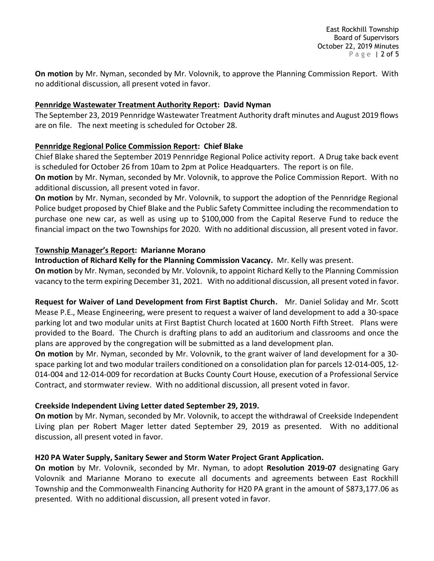**On motion** by Mr. Nyman, seconded by Mr. Volovnik, to approve the Planning Commission Report. With no additional discussion, all present voted in favor.

# **Pennridge Wastewater Treatment Authority Report: David Nyman**

The September 23, 2019 Pennridge Wastewater Treatment Authority draft minutes and August 2019 flows are on file. The next meeting is scheduled for October 28.

## **Pennridge Regional Police Commission Report: Chief Blake**

Chief Blake shared the September 2019 Pennridge Regional Police activity report. A Drug take back event is scheduled for October 26 from 10am to 2pm at Police Headquarters. The report is on file.

**On motion** by Mr. Nyman, seconded by Mr. Volovnik, to approve the Police Commission Report. With no additional discussion, all present voted in favor.

**On motion** by Mr. Nyman, seconded by Mr. Volovnik, to support the adoption of the Pennridge Regional Police budget proposed by Chief Blake and the Public Safety Committee including the recommendation to purchase one new car, as well as using up to \$100,000 from the Capital Reserve Fund to reduce the financial impact on the two Townships for 2020. With no additional discussion, all present voted in favor.

### **Township Manager's Report: Marianne Morano**

**Introduction of Richard Kelly for the Planning Commission Vacancy.** Mr. Kelly was present.

**On motion** by Mr. Nyman, seconded by Mr. Volovnik, to appoint Richard Kelly to the Planning Commission vacancy to the term expiring December 31, 2021. With no additional discussion, all present voted in favor.

**Request for Waiver of Land Development from First Baptist Church.** Mr. Daniel Soliday and Mr. Scott Mease P.E., Mease Engineering, were present to request a waiver of land development to add a 30-space parking lot and two modular units at First Baptist Church located at 1600 North Fifth Street. Plans were provided to the Board. The Church is drafting plans to add an auditorium and classrooms and once the plans are approved by the congregation will be submitted as a land development plan.

**On motion** by Mr. Nyman, seconded by Mr. Volovnik, to the grant waiver of land development for a 30 space parking lot and two modular trailers conditioned on a consolidation plan for parcels 12-014-005, 12- 014-004 and 12-014-009 for recordation at Bucks County Court House, execution of a Professional Service Contract, and stormwater review. With no additional discussion, all present voted in favor.

# **Creekside Independent Living Letter dated September 29, 2019.**

**On motion** by Mr. Nyman, seconded by Mr. Volovnik, to accept the withdrawal of Creekside Independent Living plan per Robert Mager letter dated September 29, 2019 as presented. With no additional discussion, all present voted in favor.

# **H20 PA Water Supply, Sanitary Sewer and Storm Water Project Grant Application.**

**On motion** by Mr. Volovnik, seconded by Mr. Nyman, to adopt **Resolution 2019-07** designating Gary Volovnik and Marianne Morano to execute all documents and agreements between East Rockhill Township and the Commonwealth Financing Authority for H20 PA grant in the amount of \$873,177.06 as presented. With no additional discussion, all present voted in favor.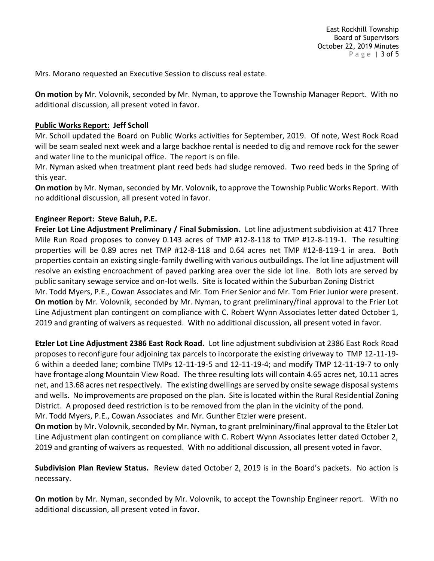Mrs. Morano requested an Executive Session to discuss real estate.

**On motion** by Mr. Volovnik, seconded by Mr. Nyman, to approve the Township Manager Report. With no additional discussion, all present voted in favor.

### **Public Works Report: Jeff Scholl**

Mr. Scholl updated the Board on Public Works activities for September, 2019. Of note, West Rock Road will be seam sealed next week and a large backhoe rental is needed to dig and remove rock for the sewer and water line to the municipal office. The report is on file.

Mr. Nyman asked when treatment plant reed beds had sludge removed. Two reed beds in the Spring of this year.

**On motion** by Mr. Nyman, seconded by Mr. Volovnik, to approve the Township Public Works Report. With no additional discussion, all present voted in favor.

## **Engineer Report: Steve Baluh, P.E.**

**Freier Lot Line Adjustment Preliminary / Final Submission.** Lot line adjustment subdivision at 417 Three Mile Run Road proposes to convey 0.143 acres of TMP #12-8-118 to TMP #12-8-119-1. The resulting properties will be 0.89 acres net TMP #12-8-118 and 0.64 acres net TMP #12-8-119-1 in area. Both properties contain an existing single-family dwelling with various outbuildings. The lot line adjustment will resolve an existing encroachment of paved parking area over the side lot line. Both lots are served by public sanitary sewage service and on-lot wells. Site is located within the Suburban Zoning District Mr. Todd Myers, P.E., Cowan Associates and Mr. Tom Frier Senior and Mr. Tom Frier Junior were present. **On motion** by Mr. Volovnik, seconded by Mr. Nyman, to grant preliminary/final approval to the Frier Lot Line Adjustment plan contingent on compliance with C. Robert Wynn Associates letter dated October 1, 2019 and granting of waivers as requested. With no additional discussion, all present voted in favor.

**Etzler Lot Line Adjustment 2386 East Rock Road.** Lot line adjustment subdivision at 2386 East Rock Road proposes to reconfigure four adjoining tax parcels to incorporate the existing driveway to TMP 12-11-19- 6 within a deeded lane; combine TMPs 12-11-19-5 and 12-11-19-4; and modify TMP 12-11-19-7 to only have frontage along Mountain View Road. The three resulting lots will contain 4.65 acres net, 10.11 acres net, and 13.68 acres net respectively. The existing dwellings are served by onsite sewage disposal systems and wells. No improvements are proposed on the plan. Site is located within the Rural Residential Zoning District. A proposed deed restriction is to be removed from the plan in the vicinity of the pond.

Mr. Todd Myers, P.E., Cowan Associates and Mr. Gunther Etzler were present.

**On motion** by Mr. Volovnik, seconded by Mr. Nyman, to grant prelmininary/final approval to the Etzler Lot Line Adjustment plan contingent on compliance with C. Robert Wynn Associates letter dated October 2, 2019 and granting of waivers as requested. With no additional discussion, all present voted in favor.

**Subdivision Plan Review Status.** Review dated October 2, 2019 is in the Board's packets. No action is necessary.

**On motion** by Mr. Nyman, seconded by Mr. Volovnik, to accept the Township Engineer report. With no additional discussion, all present voted in favor.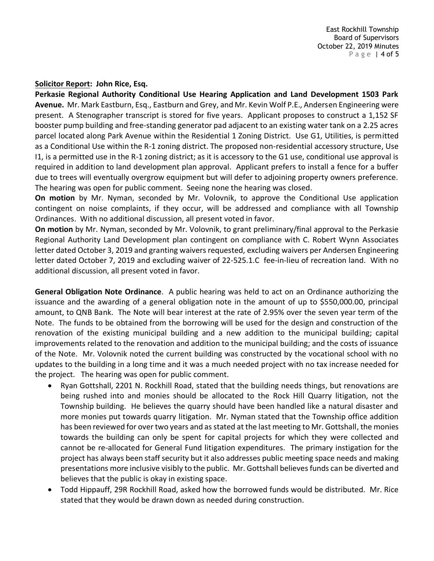East Rockhill Township Board of Supervisors October 22, 2019 Minutes P a g e | 4 of 5

#### **Solicitor Report: John Rice, Esq.**

**Perkasie Regional Authority Conditional Use Hearing Application and Land Development 1503 Park Avenue.** Mr. Mark Eastburn, Esq., Eastburn and Grey, and Mr. Kevin Wolf P.E., Andersen Engineering were present. A Stenographer transcript is stored for five years. Applicant proposes to construct a 1,152 SF booster pump building and free-standing generator pad adjacent to an existing water tank on a 2.25 acres parcel located along Park Avenue within the Residential 1 Zoning District. Use G1, Utilities, is permitted as a Conditional Use within the R-1 zoning district. The proposed non-residential accessory structure, Use I1, is a permitted use in the R-1 zoning district; as it is accessory to the G1 use, conditional use approval is required in addition to land development plan approval. Applicant prefers to install a fence for a buffer due to trees will eventually overgrow equipment but will defer to adjoining property owners preference. The hearing was open for public comment. Seeing none the hearing was closed.

**On motion** by Mr. Nyman, seconded by Mr. Volovnik, to approve the Conditional Use application contingent on noise complaints, if they occur, will be addressed and compliance with all Township Ordinances. With no additional discussion, all present voted in favor.

**On motion** by Mr. Nyman, seconded by Mr. Volovnik, to grant preliminary/final approval to the Perkasie Regional Authority Land Development plan contingent on compliance with C. Robert Wynn Associates letter dated October 3, 2019 and granting waivers requested, excluding waivers per Andersen Engineering letter dated October 7, 2019 and excluding waiver of 22-525.1.C fee-in-lieu of recreation land. With no additional discussion, all present voted in favor.

**General Obligation Note Ordinance**. A public hearing was held to act on an Ordinance authorizing the issuance and the awarding of a general obligation note in the amount of up to \$550,000.00, principal amount, to QNB Bank. The Note will bear interest at the rate of 2.95% over the seven year term of the Note. The funds to be obtained from the borrowing will be used for the design and construction of the renovation of the existing municipal building and a new addition to the municipal building; capital improvements related to the renovation and addition to the municipal building; and the costs of issuance of the Note. Mr. Volovnik noted the current building was constructed by the vocational school with no updates to the building in a long time and it was a much needed project with no tax increase needed for the project. The hearing was open for public comment.

- Ryan Gottshall, 2201 N. Rockhill Road, stated that the building needs things, but renovations are being rushed into and monies should be allocated to the Rock Hill Quarry litigation, not the Township building. He believes the quarry should have been handled like a natural disaster and more monies put towards quarry litigation. Mr. Nyman stated that the Township office addition has been reviewed for over two years and as stated at the last meeting to Mr. Gottshall, the monies towards the building can only be spent for capital projects for which they were collected and cannot be re-allocated for General Fund litigation expenditures. The primary instigation for the project has always been staff security but it also addresses public meeting space needs and making presentations more inclusive visibly to the public. Mr. Gottshall believes funds can be diverted and believes that the public is okay in existing space.
- Todd Hippauff, 29R Rockhill Road, asked how the borrowed funds would be distributed. Mr. Rice stated that they would be drawn down as needed during construction.